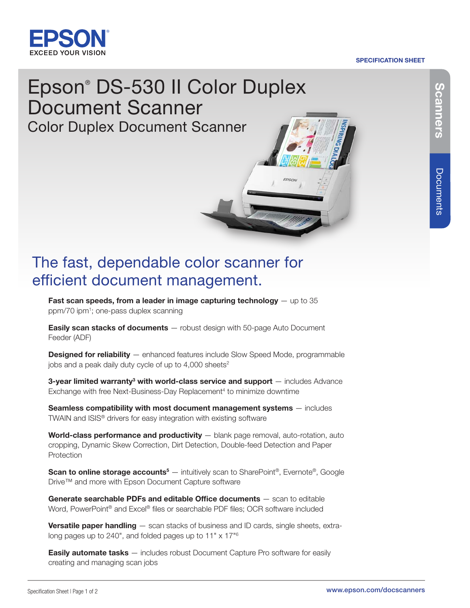

### SPECIFICATION SHEET

# Epson® DS-530 II Color Duplex Document Scanner Color Duplex Document Scanner

# The fast, dependable color scanner for efficient document management.

**Fast scan speeds, from a leader in image capturing technology**  $-$  up to 35 ppm/70 ipm1; one-pass duplex scanning

**Easily scan stacks of documents** — robust design with 50-page Auto Document Feeder (ADF)

**Designed for reliability** — enhanced features include Slow Speed Mode, programmable jobs and a peak daily duty cycle of up to  $4,000$  sheets<sup>2</sup>

**3-year limited warranty<sup>3</sup> with world-class service and support**  $-$  includes Advance Exchange with free Next-Business-Day Replacement<sup>4</sup> to minimize downtime

Seamless compatibility with most document management systems — includes TWAIN and ISIS® drivers for easy integration with existing software

World-class performance and productivity - blank page removal, auto-rotation, auto cropping, Dynamic Skew Correction, Dirt Detection, Double-feed Detection and Paper Protection

Scan to online storage accounts<sup>5</sup> — intuitively scan to SharePoint<sup>®</sup>, Evernote®, Google Drive™ and more with Epson Document Capture software

Generate searchable PDFs and editable Office documents – scan to editable Word, PowerPoint<sup>®</sup> and Excel<sup>®</sup> files or searchable PDF files; OCR software included

**Versatile paper handling** — scan stacks of business and ID cards, single sheets, extralong pages up to 240", and folded pages up to 11" x 17"<sup>6</sup>

**Easily automate tasks** — includes robust Document Capture Pro software for easily creating and managing scan jobs